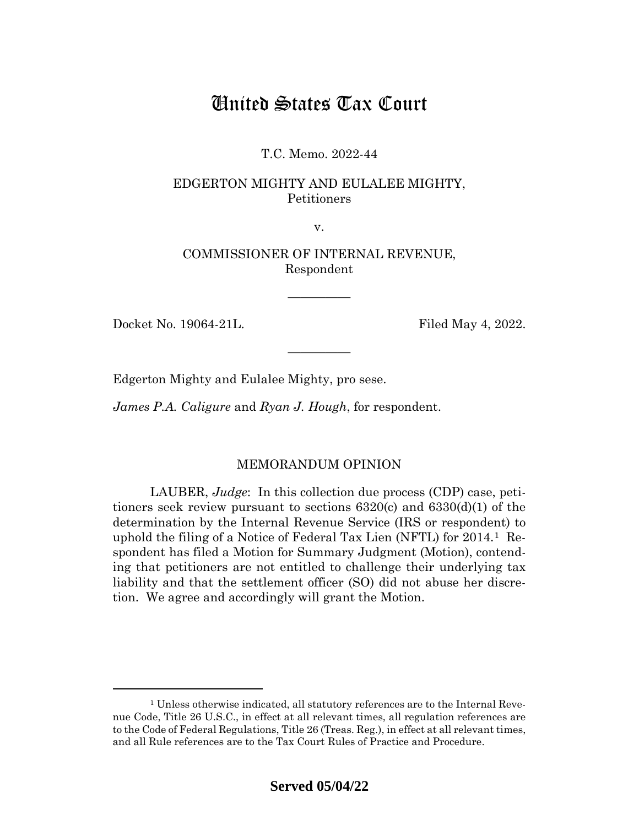# United States Tax Court

T.C. Memo. 2022-44

## EDGERTON MIGHTY AND EULALEE MIGHTY, Petitioners

v.

COMMISSIONER OF INTERNAL REVENUE, Respondent

—————

—————

Docket No. 19064-21L. Filed May 4, 2022.

Edgerton Mighty and Eulalee Mighty, pro sese.

*James P.A. Caligure* and *Ryan J. Hough*, for respondent.

### MEMORANDUM OPINION

LAUBER, *Judge*: In this collection due process (CDP) case, petitioners seek review pursuant to sections 6320(c) and 6330(d)(1) of the determination by the Internal Revenue Service (IRS or respondent) to uphold the filing of a Notice of Federal Tax Lien (NFTL) for 2014.[1](#page-0-0) Respondent has filed a Motion for Summary Judgment (Motion), contending that petitioners are not entitled to challenge their underlying tax liability and that the settlement officer (SO) did not abuse her discretion. We agree and accordingly will grant the Motion.

<span id="page-0-0"></span><sup>1</sup> Unless otherwise indicated, all statutory references are to the Internal Revenue Code, Title 26 U.S.C., in effect at all relevant times, all regulation references are to the Code of Federal Regulations, Title 26 (Treas. Reg.), in effect at all relevant times, and all Rule references are to the Tax Court Rules of Practice and Procedure.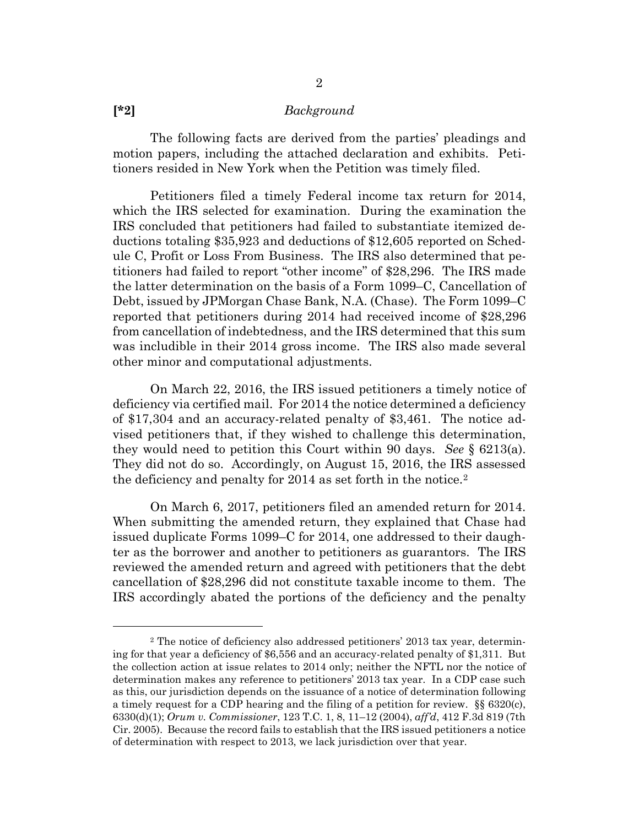#### **[\*2]** *Background*

The following facts are derived from the parties' pleadings and motion papers, including the attached declaration and exhibits. Petitioners resided in New York when the Petition was timely filed.

Petitioners filed a timely Federal income tax return for 2014, which the IRS selected for examination. During the examination the IRS concluded that petitioners had failed to substantiate itemized deductions totaling \$35,923 and deductions of \$12,605 reported on Schedule C, Profit or Loss From Business. The IRS also determined that petitioners had failed to report "other income" of \$28,296. The IRS made the latter determination on the basis of a Form 1099–C, Cancellation of Debt, issued by JPMorgan Chase Bank, N.A. (Chase). The Form 1099–C reported that petitioners during 2014 had received income of \$28,296 from cancellation of indebtedness, and the IRS determined that this sum was includible in their 2014 gross income. The IRS also made several other minor and computational adjustments.

On March 22, 2016, the IRS issued petitioners a timely notice of deficiency via certified mail. For 2014 the notice determined a deficiency of \$17,304 and an accuracy-related penalty of \$3,461. The notice advised petitioners that, if they wished to challenge this determination, they would need to petition this Court within 90 days. *See* § 6213(a). They did not do so. Accordingly, on August 15, 2016, the IRS assessed the deficiency and penalty for 2014 as set forth in the notice.[2](#page-1-0)

On March 6, 2017, petitioners filed an amended return for 2014. When submitting the amended return, they explained that Chase had issued duplicate Forms 1099–C for 2014, one addressed to their daughter as the borrower and another to petitioners as guarantors. The IRS reviewed the amended return and agreed with petitioners that the debt cancellation of \$28,296 did not constitute taxable income to them. The IRS accordingly abated the portions of the deficiency and the penalty

<span id="page-1-0"></span><sup>2</sup> The notice of deficiency also addressed petitioners' 2013 tax year, determining for that year a deficiency of \$6,556 and an accuracy-related penalty of \$1,311. But the collection action at issue relates to 2014 only; neither the NFTL nor the notice of determination makes any reference to petitioners' 2013 tax year. In a CDP case such as this, our jurisdiction depends on the issuance of a notice of determination following a timely request for a CDP hearing and the filing of a petition for review. §§ 6320(c), 6330(d)(1); *Orum v. Commissioner*, 123 T.C. 1, 8, 11–12 (2004), *aff'd*, 412 F.3d 819 (7th Cir. 2005). Because the record fails to establish that the IRS issued petitioners a notice of determination with respect to 2013, we lack jurisdiction over that year.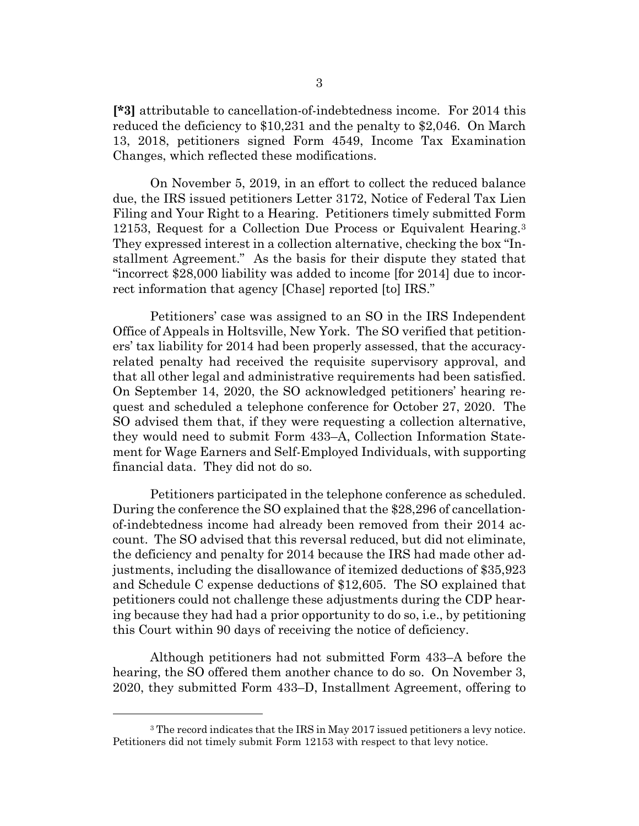**[\*3]** attributable to cancellation-of-indebtedness income. For 2014 this reduced the deficiency to \$10,231 and the penalty to \$2,046. On March 13, 2018, petitioners signed Form 4549, Income Tax Examination Changes, which reflected these modifications.

On November 5, 2019, in an effort to collect the reduced balance due, the IRS issued petitioners Letter 3172, Notice of Federal Tax Lien Filing and Your Right to a Hearing. Petitioners timely submitted Form 12153, Request for a Collection Due Process or Equivalent Hearing.[3](#page-2-0) They expressed interest in a collection alternative, checking the box "Installment Agreement." As the basis for their dispute they stated that "incorrect \$28,000 liability was added to income [for 2014] due to incorrect information that agency [Chase] reported [to] IRS."

Petitioners' case was assigned to an SO in the IRS Independent Office of Appeals in Holtsville, New York. The SO verified that petitioners' tax liability for 2014 had been properly assessed, that the accuracyrelated penalty had received the requisite supervisory approval, and that all other legal and administrative requirements had been satisfied. On September 14, 2020, the SO acknowledged petitioners' hearing request and scheduled a telephone conference for October 27, 2020. The SO advised them that, if they were requesting a collection alternative, they would need to submit Form 433–A, Collection Information Statement for Wage Earners and Self-Employed Individuals, with supporting financial data. They did not do so.

Petitioners participated in the telephone conference as scheduled. During the conference the SO explained that the \$28,296 of cancellationof-indebtedness income had already been removed from their 2014 account. The SO advised that this reversal reduced, but did not eliminate, the deficiency and penalty for 2014 because the IRS had made other adjustments, including the disallowance of itemized deductions of \$35,923 and Schedule C expense deductions of \$12,605. The SO explained that petitioners could not challenge these adjustments during the CDP hearing because they had had a prior opportunity to do so, i.e., by petitioning this Court within 90 days of receiving the notice of deficiency.

Although petitioners had not submitted Form 433–A before the hearing, the SO offered them another chance to do so. On November 3, 2020, they submitted Form 433–D, Installment Agreement, offering to

<span id="page-2-0"></span><sup>&</sup>lt;sup>3</sup> The record indicates that the IRS in May 2017 issued petitioners a levy notice. Petitioners did not timely submit Form 12153 with respect to that levy notice.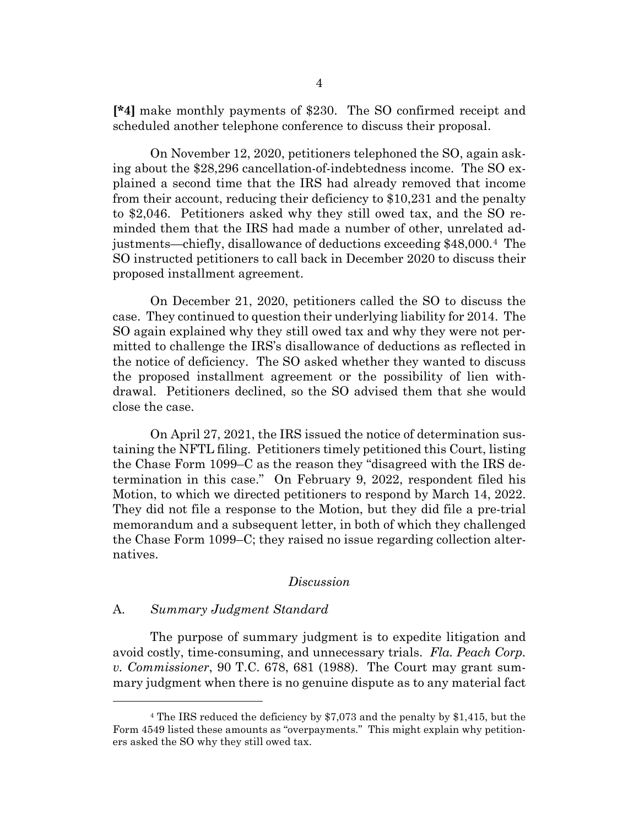**[\*4]** make monthly payments of \$230. The SO confirmed receipt and scheduled another telephone conference to discuss their proposal.

On November 12, 2020, petitioners telephoned the SO, again asking about the \$28,296 cancellation-of-indebtedness income. The SO explained a second time that the IRS had already removed that income from their account, reducing their deficiency to \$10,231 and the penalty to \$2,046. Petitioners asked why they still owed tax, and the SO reminded them that the IRS had made a number of other, unrelated adjustments—chiefly, disallowance of deductions exceeding \$48,000.[4](#page-3-0) The SO instructed petitioners to call back in December 2020 to discuss their proposed installment agreement.

On December 21, 2020, petitioners called the SO to discuss the case. They continued to question their underlying liability for 2014. The SO again explained why they still owed tax and why they were not permitted to challenge the IRS's disallowance of deductions as reflected in the notice of deficiency. The SO asked whether they wanted to discuss the proposed installment agreement or the possibility of lien withdrawal. Petitioners declined, so the SO advised them that she would close the case.

On April 27, 2021, the IRS issued the notice of determination sustaining the NFTL filing. Petitioners timely petitioned this Court, listing the Chase Form 1099–C as the reason they "disagreed with the IRS determination in this case." On February 9, 2022, respondent filed his Motion, to which we directed petitioners to respond by March 14, 2022. They did not file a response to the Motion, but they did file a pre-trial memorandum and a subsequent letter, in both of which they challenged the Chase Form 1099–C; they raised no issue regarding collection alternatives.

#### *Discussion*

#### A. *Summary Judgment Standard*

The purpose of summary judgment is to expedite litigation and avoid costly, time-consuming, and unnecessary trials. *Fla. Peach Corp. v. Commissioner*, 90 T.C. 678, 681 (1988). The Court may grant summary judgment when there is no genuine dispute as to any material fact

<span id="page-3-0"></span><sup>4</sup> The IRS reduced the deficiency by \$7,073 and the penalty by \$1,415, but the Form 4549 listed these amounts as "overpayments." This might explain why petitioners asked the SO why they still owed tax.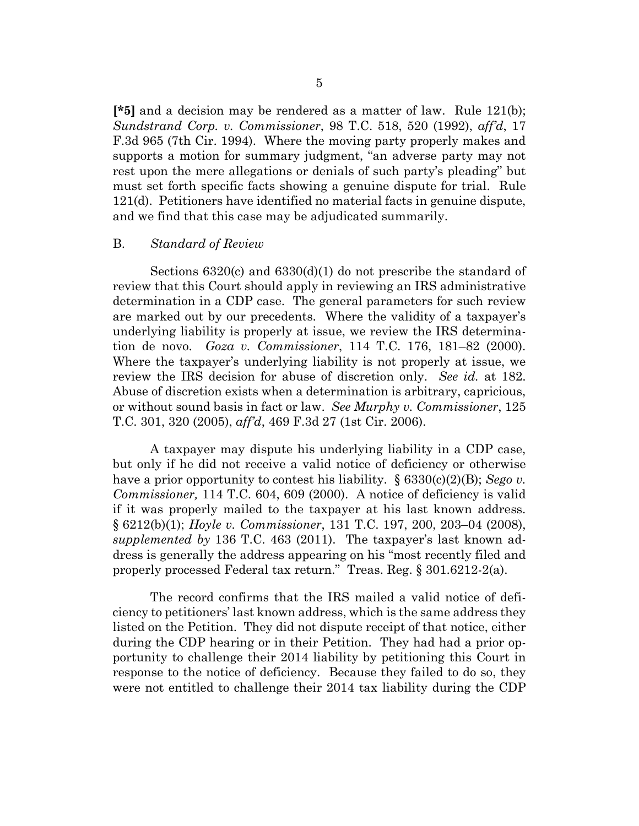**[\*5]** and a decision may be rendered as a matter of law. Rule 121(b); *Sundstrand Corp. v. Commissioner*, 98 T.C. 518, 520 (1992), *aff'd*, 17 F.3d 965 (7th Cir. 1994). Where the moving party properly makes and supports a motion for summary judgment, "an adverse party may not rest upon the mere allegations or denials of such party's pleading" but must set forth specific facts showing a genuine dispute for trial. Rule 121(d). Petitioners have identified no material facts in genuine dispute, and we find that this case may be adjudicated summarily.

#### B. *Standard of Review*

Sections 6320(c) and 6330(d)(1) do not prescribe the standard of review that this Court should apply in reviewing an IRS administrative determination in a CDP case. The general parameters for such review are marked out by our precedents. Where the validity of a taxpayer's underlying liability is properly at issue, we review the IRS determination de novo. *Goza v. Commissioner*, 114 T.C. 176, 181–82 (2000). Where the taxpayer's underlying liability is not properly at issue, we review the IRS decision for abuse of discretion only. *See id.* at 182. Abuse of discretion exists when a determination is arbitrary, capricious, or without sound basis in fact or law. *See Murphy v. Commissioner*, 125 T.C. 301, 320 (2005), *aff'd*, 469 F.3d 27 (1st Cir. 2006).

A taxpayer may dispute his underlying liability in a CDP case, but only if he did not receive a valid notice of deficiency or otherwise have a prior opportunity to contest his liability. § 6330(c)(2)(B); *Sego v. Commissioner,* 114 T.C. 604, 609 (2000). A notice of deficiency is valid if it was properly mailed to the taxpayer at his last known address. § 6212(b)(1); *Hoyle v. Commissioner*, 131 T.C. 197, 200, 203–04 (2008), *supplemented by* 136 T.C. 463 (2011). The taxpayer's last known address is generally the address appearing on his "most recently filed and properly processed Federal tax return." Treas. Reg. § 301.6212-2(a).

The record confirms that the IRS mailed a valid notice of deficiency to petitioners' last known address, which is the same address they listed on the Petition. They did not dispute receipt of that notice, either during the CDP hearing or in their Petition. They had had a prior opportunity to challenge their 2014 liability by petitioning this Court in response to the notice of deficiency. Because they failed to do so, they were not entitled to challenge their 2014 tax liability during the CDP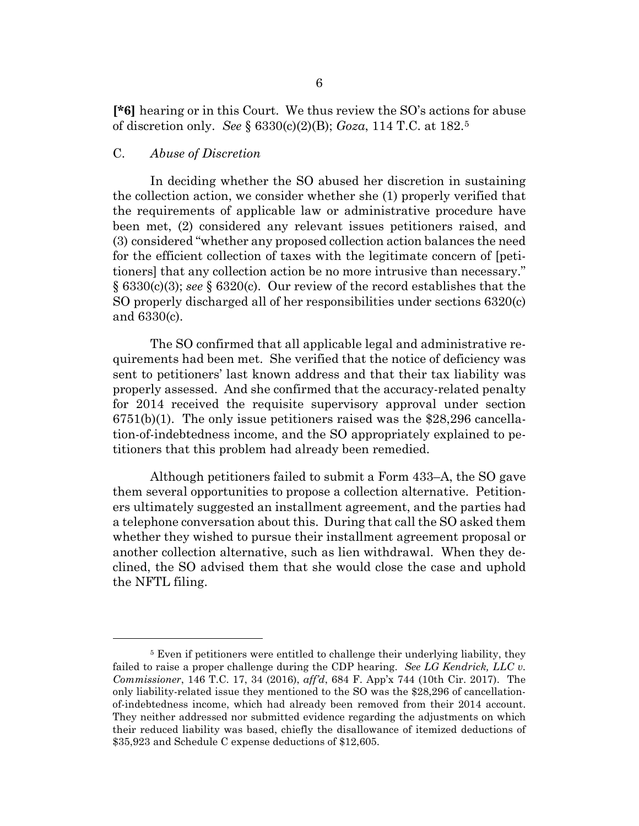**[\*6]** hearing or in this Court. We thus review the SO's actions for abuse of discretion only. *See* § 6330(c)(2)(B); *Goza*, 114 T.C. at 182.[5](#page-5-0)

#### C. *Abuse of Discretion*

In deciding whether the SO abused her discretion in sustaining the collection action, we consider whether she (1) properly verified that the requirements of applicable law or administrative procedure have been met, (2) considered any relevant issues petitioners raised, and (3) considered "whether any proposed collection action balances the need for the efficient collection of taxes with the legitimate concern of [petitioners] that any collection action be no more intrusive than necessary." § 6330(c)(3); *see* § 6320(c). Our review of the record establishes that the SO properly discharged all of her responsibilities under sections 6320(c) and 6330(c).

The SO confirmed that all applicable legal and administrative requirements had been met. She verified that the notice of deficiency was sent to petitioners' last known address and that their tax liability was properly assessed. And she confirmed that the accuracy-related penalty for 2014 received the requisite supervisory approval under section 6751(b)(1). The only issue petitioners raised was the \$28,296 cancellation-of-indebtedness income, and the SO appropriately explained to petitioners that this problem had already been remedied.

Although petitioners failed to submit a Form 433–A, the SO gave them several opportunities to propose a collection alternative. Petitioners ultimately suggested an installment agreement, and the parties had a telephone conversation about this. During that call the SO asked them whether they wished to pursue their installment agreement proposal or another collection alternative, such as lien withdrawal. When they declined, the SO advised them that she would close the case and uphold the NFTL filing.

<span id="page-5-0"></span><sup>&</sup>lt;sup>5</sup> Even if petitioners were entitled to challenge their underlying liability, they failed to raise a proper challenge during the CDP hearing. *See LG Kendrick, LLC v. Commissioner*, 146 T.C. 17, 34 (2016), *aff'd*, 684 F. App'x 744 (10th Cir. 2017). The only liability-related issue they mentioned to the SO was the \$28,296 of cancellationof-indebtedness income, which had already been removed from their 2014 account. They neither addressed nor submitted evidence regarding the adjustments on which their reduced liability was based, chiefly the disallowance of itemized deductions of \$35,923 and Schedule C expense deductions of \$12,605.